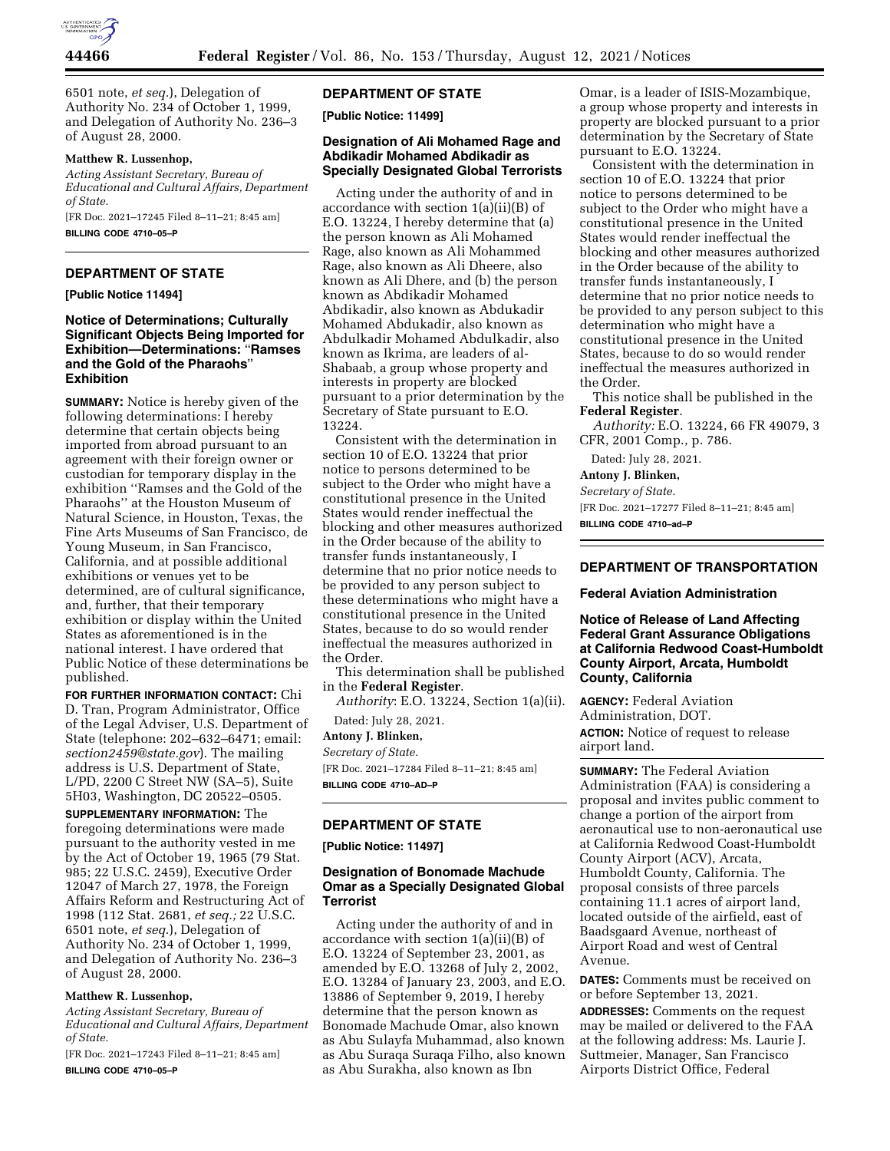

6501 note, *et seq.*), Delegation of Authority No. 234 of October 1, 1999, and Delegation of Authority No. 236–3 of August 28, 2000.

### **Matthew R. Lussenhop,**

*Acting Assistant Secretary, Bureau of Educational and Cultural Affairs, Department of State.* 

[FR Doc. 2021–17245 Filed 8–11–21; 8:45 am] **BILLING CODE 4710–05–P** 

## **DEPARTMENT OF STATE**

**[Public Notice 11494]** 

### **Notice of Determinations; Culturally Significant Objects Being Imported for Exhibition—Determinations:** ''**Ramses and the Gold of the Pharaohs**'' **Exhibition**

**SUMMARY:** Notice is hereby given of the following determinations: I hereby determine that certain objects being imported from abroad pursuant to an agreement with their foreign owner or custodian for temporary display in the exhibition ''Ramses and the Gold of the Pharaohs'' at the Houston Museum of Natural Science, in Houston, Texas, the Fine Arts Museums of San Francisco, de Young Museum, in San Francisco, California, and at possible additional exhibitions or venues yet to be determined, are of cultural significance, and, further, that their temporary exhibition or display within the United States as aforementioned is in the national interest. I have ordered that Public Notice of these determinations be published.

**FOR FURTHER INFORMATION CONTACT:** Chi D. Tran, Program Administrator, Office of the Legal Adviser, U.S. Department of State (telephone: 202–632–6471; email: *[section2459@state.gov](mailto:section2459@state.gov)*). The mailing address is U.S. Department of State, L/PD, 2200 C Street NW (SA–5), Suite 5H03, Washington, DC 20522–0505.

**SUPPLEMENTARY INFORMATION:** The foregoing determinations were made pursuant to the authority vested in me by the Act of October 19, 1965 (79 Stat. 985; 22 U.S.C. 2459), Executive Order 12047 of March 27, 1978, the Foreign Affairs Reform and Restructuring Act of 1998 (112 Stat. 2681, *et seq.;* 22 U.S.C. 6501 note, *et seq.*), Delegation of Authority No. 234 of October 1, 1999, and Delegation of Authority No. 236–3 of August 28, 2000.

### **Matthew R. Lussenhop,**

*Acting Assistant Secretary, Bureau of Educational and Cultural Affairs, Department of State.* 

[FR Doc. 2021–17243 Filed 8–11–21; 8:45 am] **BILLING CODE 4710–05–P** 

# **DEPARTMENT OF STATE**

**[Public Notice: 11499]** 

## **Designation of Ali Mohamed Rage and Abdikadir Mohamed Abdikadir as Specially Designated Global Terrorists**

Acting under the authority of and in accordance with section 1(a)(ii)(B) of E.O. 13224, I hereby determine that (a) the person known as Ali Mohamed Rage, also known as Ali Mohammed Rage, also known as Ali Dheere, also known as Ali Dhere, and (b) the person known as Abdikadir Mohamed Abdikadir, also known as Abdukadir Mohamed Abdukadir, also known as Abdulkadir Mohamed Abdulkadir, also known as Ikrima, are leaders of al-Shabaab, a group whose property and interests in property are blocked pursuant to a prior determination by the Secretary of State pursuant to E.O. 13224.

Consistent with the determination in section 10 of E.O. 13224 that prior notice to persons determined to be subject to the Order who might have a constitutional presence in the United States would render ineffectual the blocking and other measures authorized in the Order because of the ability to transfer funds instantaneously, I determine that no prior notice needs to be provided to any person subject to these determinations who might have a constitutional presence in the United States, because to do so would render ineffectual the measures authorized in the Order.

This determination shall be published in the **Federal Register**.

*Authority*: E.O. 13224, Section 1(a)(ii). Dated: July 28, 2021.

**Antony J. Blinken,** 

*Secretary of State.* 

[FR Doc. 2021–17284 Filed 8–11–21; 8:45 am] **BILLING CODE 4710–AD–P** 

### **DEPARTMENT OF STATE**

**[Public Notice: 11497]** 

# **Designation of Bonomade Machude Omar as a Specially Designated Global Terrorist**

Acting under the authority of and in accordance with section 1(a)(ii)(B) of E.O. 13224 of September 23, 2001, as amended by E.O. 13268 of July 2, 2002, E.O. 13284 of January 23, 2003, and E.O. 13886 of September 9, 2019, I hereby determine that the person known as Bonomade Machude Omar, also known as Abu Sulayfa Muhammad, also known as Abu Suraqa Suraqa Filho, also known as Abu Surakha, also known as Ibn

Omar, is a leader of ISIS-Mozambique, a group whose property and interests in property are blocked pursuant to a prior determination by the Secretary of State pursuant to E.O. 13224.

Consistent with the determination in section 10 of E.O. 13224 that prior notice to persons determined to be subject to the Order who might have a constitutional presence in the United States would render ineffectual the blocking and other measures authorized in the Order because of the ability to transfer funds instantaneously, I determine that no prior notice needs to be provided to any person subject to this determination who might have a constitutional presence in the United States, because to do so would render ineffectual the measures authorized in the Order.

This notice shall be published in the **Federal Register**.

*Authority:* E.O. 13224, 66 FR 49079, 3 CFR, 2001 Comp., p. 786.

Dated: July 28, 2021.

**Antony J. Blinken,** 

*Secretary of State.* 

[FR Doc. 2021–17277 Filed 8–11–21; 8:45 am]

**BILLING CODE 4710–ad–P** 

# **DEPARTMENT OF TRANSPORTATION**

#### **Federal Aviation Administration**

**Notice of Release of Land Affecting Federal Grant Assurance Obligations at California Redwood Coast-Humboldt County Airport, Arcata, Humboldt County, California** 

**AGENCY:** Federal Aviation Administration, DOT.

**ACTION:** Notice of request to release airport land.

**SUMMARY:** The Federal Aviation Administration (FAA) is considering a proposal and invites public comment to change a portion of the airport from aeronautical use to non-aeronautical use at California Redwood Coast-Humboldt County Airport (ACV), Arcata, Humboldt County, California. The proposal consists of three parcels containing 11.1 acres of airport land, located outside of the airfield, east of Baadsgaard Avenue, northeast of Airport Road and west of Central Avenue.

**DATES:** Comments must be received on or before September 13, 2021.

**ADDRESSES:** Comments on the request may be mailed or delivered to the FAA at the following address: Ms. Laurie J. Suttmeier, Manager, San Francisco Airports District Office, Federal